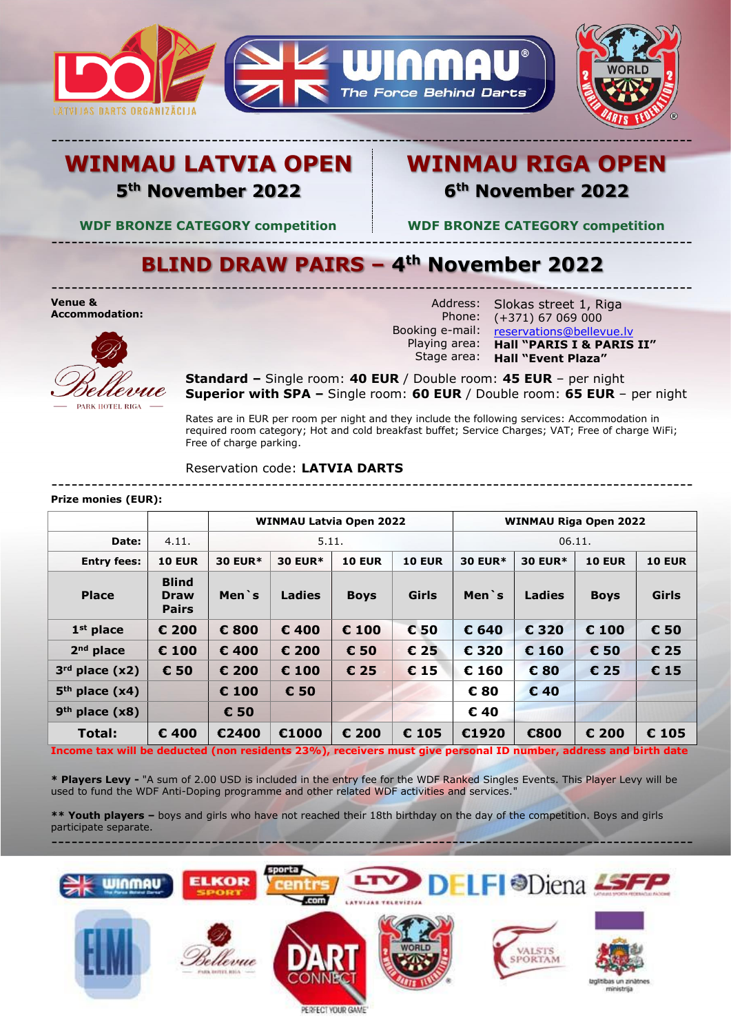



# **WINMAU LATVIA OPEN 5 th November 2022**

# **WINMAU RIGA OPEN 6 th November 2022**

**WDF BRONZE CATEGORY competition WDF BRONZE CATEGORY competition**

## ------------------------------------------------------------------------------------------------ **BLIND DRAW PAIRS – 4th November 2022**

------------------------------------------------------------------------------------------------

**Venue & Accommodation:**



------------------------------------------------------------------------------------------------ Address: Slokas street 1, Riga Phone: (+371) 67 069 000 Booking e-mail: Playing area: Stage area: [reservations@bellevue.lv](mailto:reservations@bellevue.lv) **Hall "PARIS I & PARIS II" Hall "Event Plaza"**

**Standard –** Single room: **40 EUR** / Double room: **45 EUR** – per night **Superior with SPA –** Single room: **60 EUR** / Double room: **65 EUR** – per night

Rates are in EUR per room per night and they include the following services: Accommodation in required room category; Hot and cold breakfast buffet; Service Charges; VAT; Free of charge WiFi; Free of charge parking.

Reservation code: **LATVIA DARTS**

#### ------------------------------------------------------------------------------------------------ **Prize monies (EUR):**

|                    |                                             | <b>WINMAU Latvia Open 2022</b> |                |                |               | <b>WINMAU Riga Open 2022</b> |                |               |               |
|--------------------|---------------------------------------------|--------------------------------|----------------|----------------|---------------|------------------------------|----------------|---------------|---------------|
| Date:              | 4.11.                                       | 5.11.                          |                |                |               | 06.11.                       |                |               |               |
| <b>Entry fees:</b> | <b>10 EUR</b>                               | <b>30 EUR*</b>                 | <b>30 EUR*</b> | <b>10 EUR</b>  | <b>10 EUR</b> | <b>30 EUR*</b>               | <b>30 EUR*</b> | <b>10 EUR</b> | <b>10 EUR</b> |
| <b>Place</b>       | <b>Blind</b><br><b>Draw</b><br><b>Pairs</b> | Men`s                          | <b>Ladies</b>  | <b>Boys</b>    | Girls         | Men`s                        | <b>Ladies</b>  | <b>Boys</b>   | Girls         |
| $1st$ place        | € 200                                       | € 800                          | €400           | $\epsilon$ 100 | € 50          | € 640                        | € 320          | € 100         | € 50          |
| $2nd$ place        | € 100                                       | €400                           | € 200          | € 50           | € 25          | € 320                        | $\epsilon$ 160 | € 50          | € 25          |
| $3rd$ place $(x2)$ | € 50                                        | € 200                          | € 100          | € 25           | € 15          | € 160                        | € 80           | € 25          | € 15          |
| $5th$ place $(x4)$ |                                             | € 100                          | € 50           |                |               | € 80                         | $\epsilon$ 40  |               |               |
| $9th$ place $(x8)$ |                                             | € 50                           |                |                |               | $\epsilon$ 40                |                |               |               |
| Total:             | $\epsilon$ 400                              | €2400                          | €1000          | € 200          | € 105         | €1920                        | €800           | € 200         | € 105         |

**Income tax will be deducted (non residents 23%), receivers must give personal ID number, address and birth date**

**\* Players Levy -** "A sum of 2.00 USD is included in the entry fee for the WDF Ranked Singles Events. This Player Levy will be used to fund the WDF Anti-Doping programme and other related WDF activities and services.

**\*\* Youth players –** boys and girls who have not reached their 18th birthday on the day of the competition. Boys and girls participate separate.

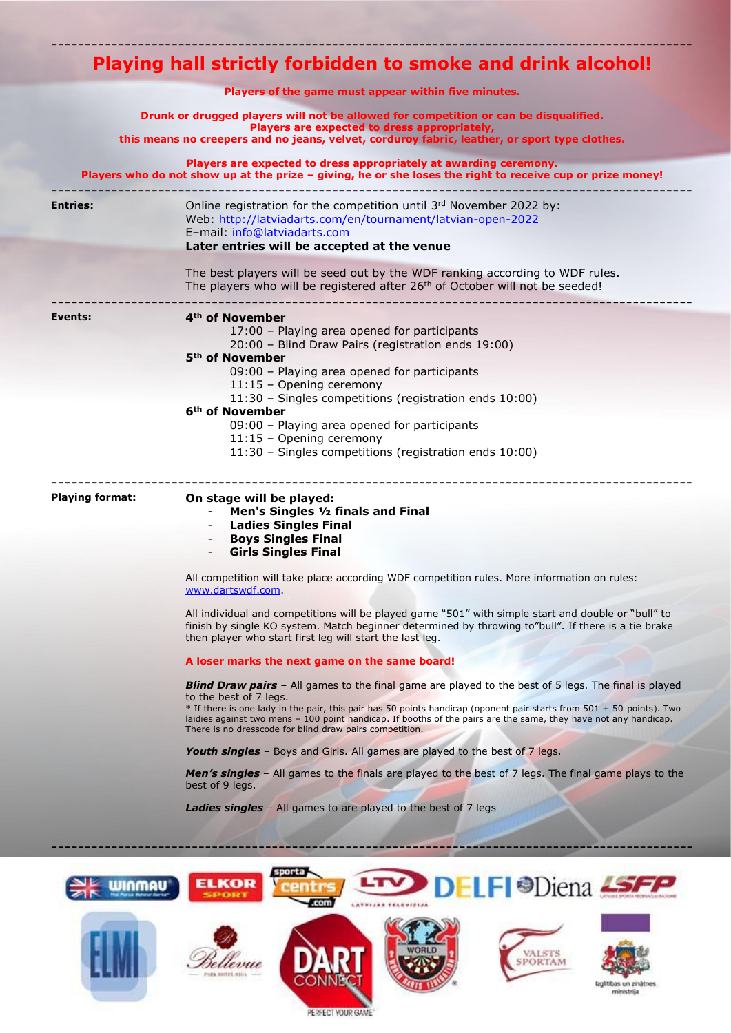## ------------------------------------------------------------------------------------------------ **Playing hall strictly forbidden to smoke and drink alcohol!**

**Players of the game must appear within five minutes.**

**Drunk or drugged players will not be allowed for competition or can be disqualified. Players are expected to dress appropriately, this means no creepers and no jeans, velvet, corduroy fabric, leather, or sport type clothes.**

**Players are expected to dress appropriately at awarding ceremony.** 

**Players who do not show up at the prize – giving, he or she loses the right to receive cup or prize money!**

| <b>Entries:</b>        | Online registration for the competition until 3rd November 2022 by:<br>Web: http://latviadarts.com/en/tournament/latvian-open-2022<br>E-mail: info@latviadarts.com<br>Later entries will be accepted at the venue                                                                                  |  |  |  |  |  |  |
|------------------------|----------------------------------------------------------------------------------------------------------------------------------------------------------------------------------------------------------------------------------------------------------------------------------------------------|--|--|--|--|--|--|
|                        | The best players will be seed out by the WDF ranking according to WDF rules.<br>The players who will be registered after 26 <sup>th</sup> of October will not be seeded!                                                                                                                           |  |  |  |  |  |  |
| Events:                | 4 <sup>th</sup> of November<br>17:00 - Playing area opened for participants<br>20:00 - Blind Draw Pairs (registration ends 19:00)                                                                                                                                                                  |  |  |  |  |  |  |
|                        | 5 <sup>th</sup> of November<br>09:00 - Playing area opened for participants<br>11:15 - Opening ceremony                                                                                                                                                                                            |  |  |  |  |  |  |
|                        | 11:30 - Singles competitions (registration ends 10:00)<br>6 <sup>th</sup> of November<br>09:00 - Playing area opened for participants                                                                                                                                                              |  |  |  |  |  |  |
|                        | 11:15 - Opening ceremony<br>11:30 - Singles competitions (registration ends 10:00)                                                                                                                                                                                                                 |  |  |  |  |  |  |
| <b>Playing format:</b> | On stage will be played:<br>Men's Singles 1/2 finals and Final<br><b>Ladies Singles Final</b><br>$\overline{\phantom{a}}$<br><b>Boys Singles Final</b><br>$\overline{\phantom{a}}$<br><b>Girls Singles Final</b>                                                                                   |  |  |  |  |  |  |
|                        | All competition will take place according WDF competition rules. More information on rules:<br>www.dartswdf.com.                                                                                                                                                                                   |  |  |  |  |  |  |
|                        | All individual and competitions will be played game "501" with simple start and double or "bull" to<br>finish by single KO system. Match beginner determined by throwing to"bull". If there is a tie brake<br>then player who start first leg will start the last leg.                             |  |  |  |  |  |  |
|                        | A loser marks the next game on the same board!                                                                                                                                                                                                                                                     |  |  |  |  |  |  |
|                        | <b>Blind Draw pairs</b> - All games to the final game are played to the best of 5 legs. The final is played<br>to the best of 7 legs.                                                                                                                                                              |  |  |  |  |  |  |
|                        | * If there is one lady in the pair, this pair has 50 points handicap (oponent pair starts from 501 + 50 points). Two<br>laidies against two mens - 100 point handicap. If booths of the pairs are the same, they have not any handicap.<br>There is no dresscode for blind draw pairs competition. |  |  |  |  |  |  |
|                        | <b>Youth singles</b> - Boys and Girls. All games are played to the best of 7 legs.                                                                                                                                                                                                                 |  |  |  |  |  |  |
|                        | Men's singles - All games to the finals are played to the best of 7 legs. The final game plays to the<br>best of 9 legs.                                                                                                                                                                           |  |  |  |  |  |  |
|                        | <b>Ladies singles</b> - All games to are played to the best of 7 legs                                                                                                                                                                                                                              |  |  |  |  |  |  |